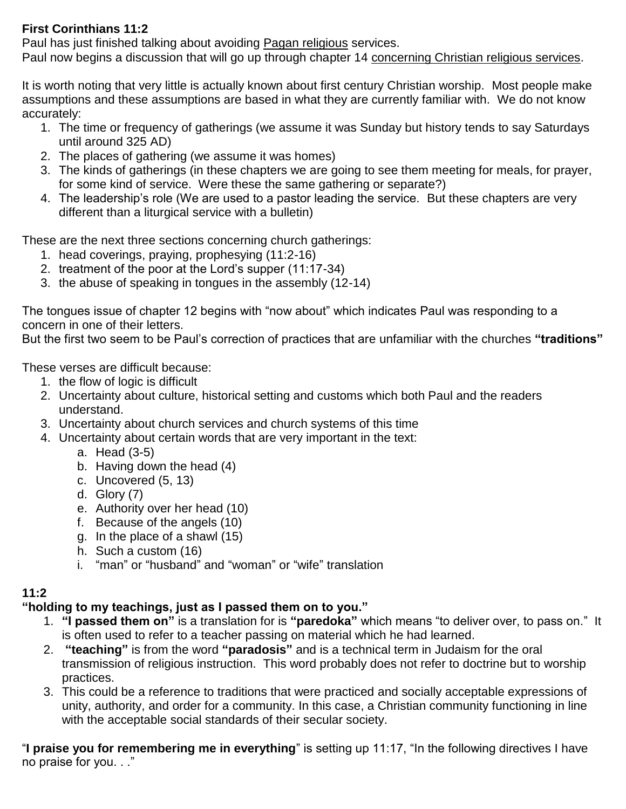### **First Corinthians 11:2**

Paul has just finished talking about avoiding Pagan religious services.

Paul now begins a discussion that will go up through chapter 14 concerning Christian religious services.

It is worth noting that very little is actually known about first century Christian worship. Most people make assumptions and these assumptions are based in what they are currently familiar with. We do not know accurately:

- 1. The time or frequency of gatherings (we assume it was Sunday but history tends to say Saturdays until around 325 AD)
- 2. The places of gathering (we assume it was homes)
- 3. The kinds of gatherings (in these chapters we are going to see them meeting for meals, for prayer, for some kind of service. Were these the same gathering or separate?)
- 4. The leadership's role (We are used to a pastor leading the service. But these chapters are very different than a liturgical service with a bulletin)

These are the next three sections concerning church gatherings:

- 1. head coverings, praying, prophesying (11:2-16)
- 2. treatment of the poor at the Lord's supper (11:17-34)
- 3. the abuse of speaking in tongues in the assembly (12-14)

The tongues issue of chapter 12 begins with "now about" which indicates Paul was responding to a concern in one of their letters.

But the first two seem to be Paul's correction of practices that are unfamiliar with the churches **"traditions"**

These verses are difficult because:

- 1. the flow of logic is difficult
- 2. Uncertainty about culture, historical setting and customs which both Paul and the readers understand.
- 3. Uncertainty about church services and church systems of this time
- 4. Uncertainty about certain words that are very important in the text:
	- a. Head (3-5)
	- b. Having down the head (4)
	- c. Uncovered (5, 13)
	- d. Glory (7)
	- e. Authority over her head (10)
	- f. Because of the angels (10)
	- g. In the place of a shawl (15)
	- h. Such a custom (16)
	- i. "man" or "husband" and "woman" or "wife" translation

## **11:2**

## **"holding to my teachings, just as I passed them on to you."**

- 1. **"I passed them on"** is a translation for is **"paredoka"** which means "to deliver over, to pass on." It is often used to refer to a teacher passing on material which he had learned.
- 2. **"teaching"** is from the word **"paradosis"** and is a technical term in Judaism for the oral transmission of religious instruction. This word probably does not refer to doctrine but to worship practices.
- 3. This could be a reference to traditions that were practiced and socially acceptable expressions of unity, authority, and order for a community. In this case, a Christian community functioning in line with the acceptable social standards of their secular society.

"**I praise you for remembering me in everything**" is setting up 11:17, "In the following directives I have no praise for you. . ."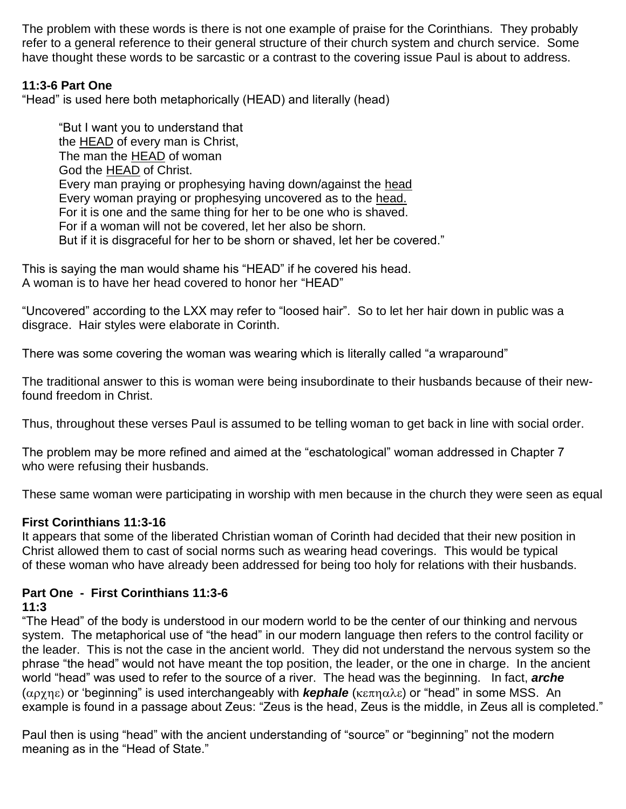The problem with these words is there is not one example of praise for the Corinthians. They probably refer to a general reference to their general structure of their church system and church service. Some have thought these words to be sarcastic or a contrast to the covering issue Paul is about to address.

### **11:3-6 Part One**

"Head" is used here both metaphorically (HEAD) and literally (head)

"But I want you to understand that the HEAD of every man is Christ, The man the HEAD of woman God the HEAD of Christ. Every man praying or prophesying having down/against the head Every woman praying or prophesying uncovered as to the head. For it is one and the same thing for her to be one who is shaved. For if a woman will not be covered, let her also be shorn. But if it is disgraceful for her to be shorn or shaved, let her be covered."

This is saying the man would shame his "HEAD" if he covered his head. A woman is to have her head covered to honor her "HEAD"

"Uncovered" according to the LXX may refer to "loosed hair". So to let her hair down in public was a disgrace. Hair styles were elaborate in Corinth.

There was some covering the woman was wearing which is literally called "a wraparound"

The traditional answer to this is woman were being insubordinate to their husbands because of their newfound freedom in Christ.

Thus, throughout these verses Paul is assumed to be telling woman to get back in line with social order.

The problem may be more refined and aimed at the "eschatological" woman addressed in Chapter 7 who were refusing their husbands.

These same woman were participating in worship with men because in the church they were seen as equal

#### **First Corinthians 11:3-16**

It appears that some of the liberated Christian woman of Corinth had decided that their new position in Christ allowed them to cast of social norms such as wearing head coverings. This would be typical of these woman who have already been addressed for being too holy for relations with their husbands.

#### **Part One - First Corinthians 11:3-6**

### **11:3**

"The Head" of the body is understood in our modern world to be the center of our thinking and nervous system. The metaphorical use of "the head" in our modern language then refers to the control facility or the leader. This is not the case in the ancient world. They did not understand the nervous system so the phrase "the head" would not have meant the top position, the leader, or the one in charge. In the ancient world "head" was used to refer to the source of a river. The head was the beginning. In fact, *arche*  $(\alpha \rho \gamma \eta \varepsilon)$  or 'beginning" is used interchangeably with *kephale* ( $\kappa \varepsilon \pi \eta \alpha \lambda \varepsilon$ ) or "head" in some MSS. An example is found in a passage about Zeus: "Zeus is the head, Zeus is the middle, in Zeus all is completed."

Paul then is using "head" with the ancient understanding of "source" or "beginning" not the modern meaning as in the "Head of State."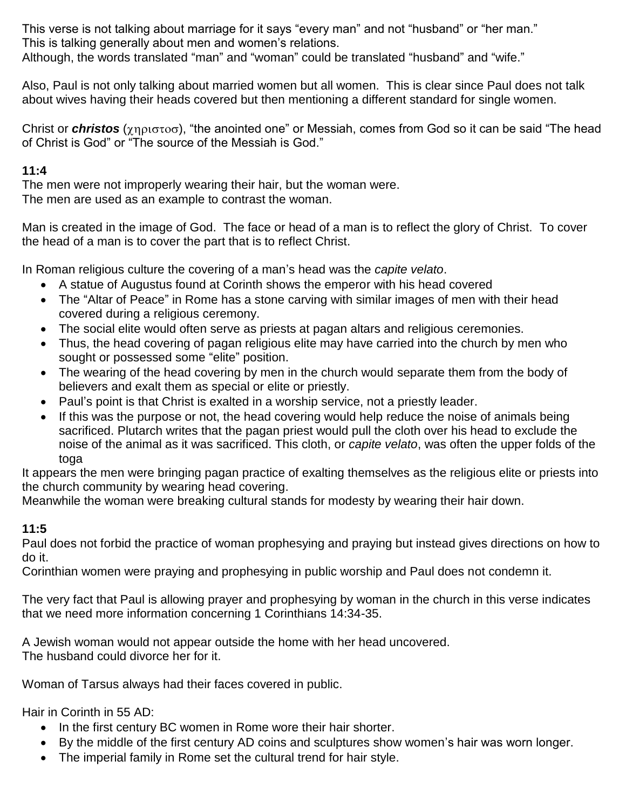This verse is not talking about marriage for it says "every man" and not "husband" or "her man." This is talking generally about men and women's relations. Although, the words translated "man" and "woman" could be translated "husband" and "wife."

Also, Paul is not only talking about married women but all women. This is clear since Paul does not talk about wives having their heads covered but then mentioning a different standard for single women.

Christ or *christos* ( $\chi$ ηριστοσ), "the anointed one" or Messiah, comes from God so it can be said "The head of Christ is God" or "The source of the Messiah is God."

### **11:4**

The men were not improperly wearing their hair, but the woman were. The men are used as an example to contrast the woman.

Man is created in the image of God. The face or head of a man is to reflect the glory of Christ. To cover the head of a man is to cover the part that is to reflect Christ.

In Roman religious culture the covering of a man's head was the *capite velato*.

- A statue of Augustus found at Corinth shows the emperor with his head covered
- The "Altar of Peace" in Rome has a stone carving with similar images of men with their head covered during a religious ceremony.
- The social elite would often serve as priests at pagan altars and religious ceremonies.
- Thus, the head covering of pagan religious elite may have carried into the church by men who sought or possessed some "elite" position.
- The wearing of the head covering by men in the church would separate them from the body of believers and exalt them as special or elite or priestly.
- Paul's point is that Christ is exalted in a worship service, not a priestly leader.
- If this was the purpose or not, the head covering would help reduce the noise of animals being sacrificed. Plutarch writes that the pagan priest would pull the cloth over his head to exclude the noise of the animal as it was sacrificed. This cloth, or *capite velato*, was often the upper folds of the toga

It appears the men were bringing pagan practice of exalting themselves as the religious elite or priests into the church community by wearing head covering.

Meanwhile the woman were breaking cultural stands for modesty by wearing their hair down.

## **11:5**

Paul does not forbid the practice of woman prophesying and praying but instead gives directions on how to do it.

Corinthian women were praying and prophesying in public worship and Paul does not condemn it.

The very fact that Paul is allowing prayer and prophesying by woman in the church in this verse indicates that we need more information concerning 1 Corinthians 14:34-35.

A Jewish woman would not appear outside the home with her head uncovered. The husband could divorce her for it.

Woman of Tarsus always had their faces covered in public.

Hair in Corinth in 55 AD:

- In the first century BC women in Rome wore their hair shorter.
- By the middle of the first century AD coins and sculptures show women's hair was worn longer.
- The imperial family in Rome set the cultural trend for hair style.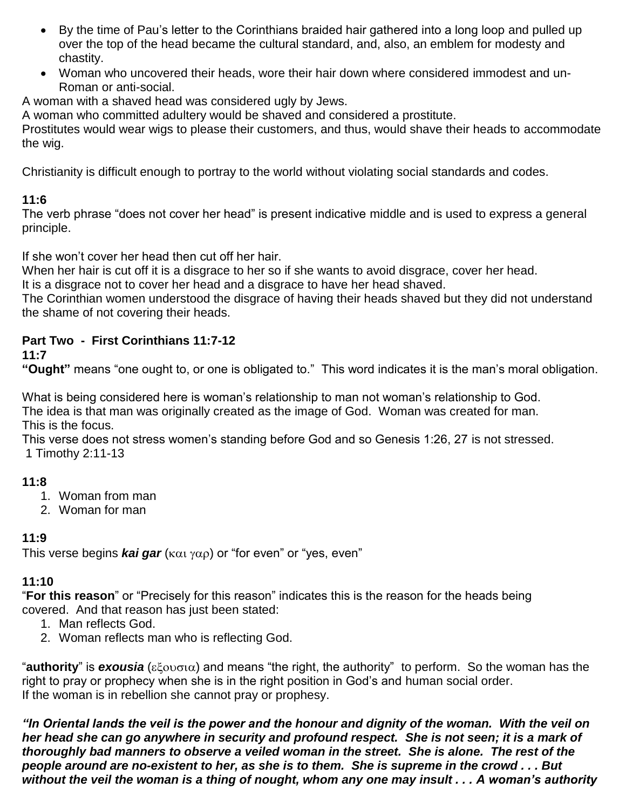- By the time of Pau's letter to the Corinthians braided hair gathered into a long loop and pulled up over the top of the head became the cultural standard, and, also, an emblem for modesty and chastity.
- Woman who uncovered their heads, wore their hair down where considered immodest and un-Roman or anti-social.

A woman with a shaved head was considered ugly by Jews.

A woman who committed adultery would be shaved and considered a prostitute.

Prostitutes would wear wigs to please their customers, and thus, would shave their heads to accommodate the wig.

Christianity is difficult enough to portray to the world without violating social standards and codes.

## **11:6**

The verb phrase "does not cover her head" is present indicative middle and is used to express a general principle.

If she won't cover her head then cut off her hair.

When her hair is cut off it is a disgrace to her so if she wants to avoid disgrace, cover her head.

It is a disgrace not to cover her head and a disgrace to have her head shaved.

The Corinthian women understood the disgrace of having their heads shaved but they did not understand the shame of not covering their heads.

## **Part Two - First Corinthians 11:7-12**

### **11:7**

**"Ought"** means "one ought to, or one is obligated to." This word indicates it is the man's moral obligation.

What is being considered here is woman's relationship to man not woman's relationship to God. The idea is that man was originally created as the image of God. Woman was created for man. This is the focus.

This verse does not stress women's standing before God and so Genesis 1:26, 27 is not stressed. 1 Timothy 2:11-13

## **11:8**

- 1. Woman from man
- 2. Woman for man

## **11:9**

This verse begins *kai gar* ( $k\alpha_1$   $\gamma\alpha_0$ ) or "for even" or "yes, even"

## **11:10**

"**For this reason**" or "Precisely for this reason" indicates this is the reason for the heads being covered. And that reason has just been stated:

- 1. Man reflects God.
- 2. Woman reflects man who is reflecting God.

"**authority**" is **exousia** ( $\epsilon \xi$ ov $\sigma$ ια) and means "the right, the authority" to perform. So the woman has the right to pray or prophecy when she is in the right position in God's and human social order. If the woman is in rebellion she cannot pray or prophesy.

*"In Oriental lands the veil is the power and the honour and dignity of the woman. With the veil on her head she can go anywhere in security and profound respect. She is not seen; it is a mark of thoroughly bad manners to observe a veiled woman in the street. She is alone. The rest of the people around are no-existent to her, as she is to them. She is supreme in the crowd . . . But without the veil the woman is a thing of nought, whom any one may insult . . . A woman's authority*